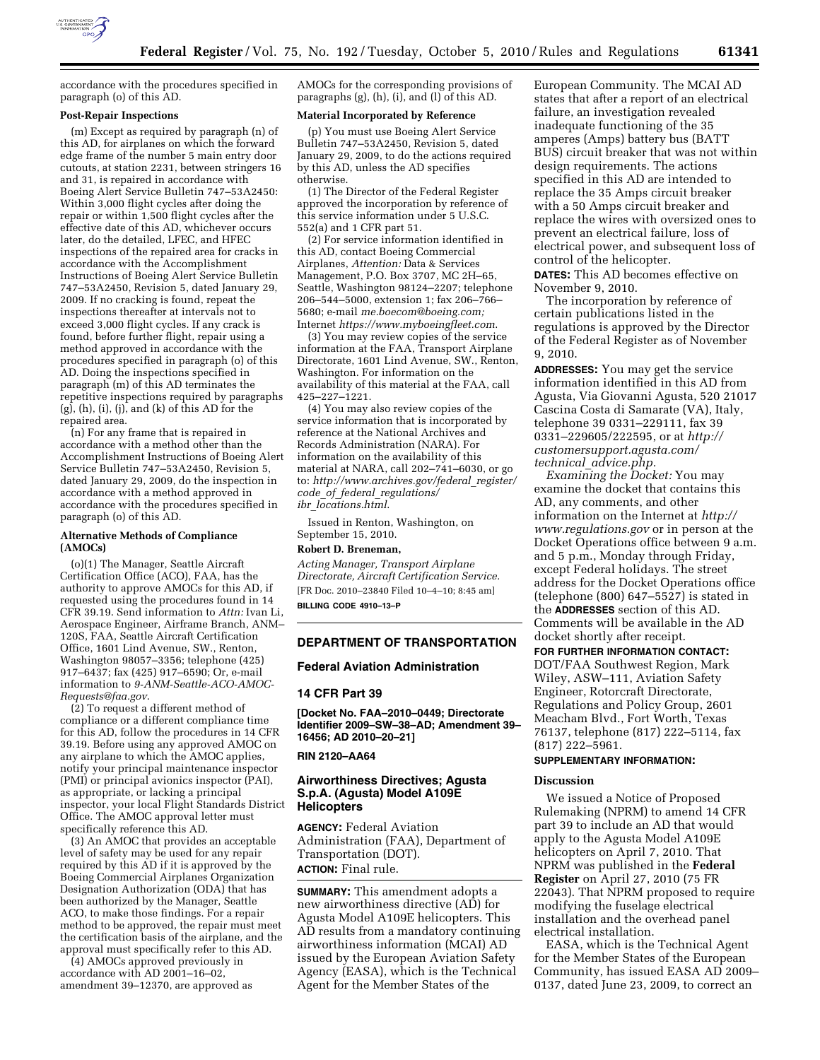

accordance with the procedures specified in paragraph (o) of this AD.

## **Post-Repair Inspections**

(m) Except as required by paragraph (n) of this AD, for airplanes on which the forward edge frame of the number 5 main entry door cutouts, at station 2231, between stringers 16 and 31, is repaired in accordance with Boeing Alert Service Bulletin 747–53A2450: Within 3,000 flight cycles after doing the repair or within 1,500 flight cycles after the effective date of this AD, whichever occurs later, do the detailed, LFEC, and HFEC inspections of the repaired area for cracks in accordance with the Accomplishment Instructions of Boeing Alert Service Bulletin 747–53A2450, Revision 5, dated January 29, 2009. If no cracking is found, repeat the inspections thereafter at intervals not to exceed 3,000 flight cycles. If any crack is found, before further flight, repair using a method approved in accordance with the procedures specified in paragraph (o) of this AD. Doing the inspections specified in paragraph (m) of this AD terminates the repetitive inspections required by paragraphs (g), (h), (i), (j), and (k) of this AD for the repaired area.

(n) For any frame that is repaired in accordance with a method other than the Accomplishment Instructions of Boeing Alert Service Bulletin 747–53A2450, Revision 5, dated January 29, 2009, do the inspection in accordance with a method approved in accordance with the procedures specified in paragraph (o) of this AD.

#### **Alternative Methods of Compliance (AMOCs)**

(o)(1) The Manager, Seattle Aircraft Certification Office (ACO), FAA, has the authority to approve AMOCs for this AD, if requested using the procedures found in 14 CFR 39.19. Send information to *Attn:* Ivan Li, Aerospace Engineer, Airframe Branch, ANM– 120S, FAA, Seattle Aircraft Certification Office, 1601 Lind Avenue, SW., Renton, Washington 98057–3356; telephone (425) 917–6437; fax (425) 917–6590; Or, e-mail information to *[9-ANM-Seattle-ACO-AMOC-](mailto:9-ANM-Seattle-ACO-AMOC-Requests@faa.gov)[Requests@faa.gov](mailto:9-ANM-Seattle-ACO-AMOC-Requests@faa.gov)*.

(2) To request a different method of compliance or a different compliance time for this AD, follow the procedures in 14 CFR 39.19. Before using any approved AMOC on any airplane to which the AMOC applies, notify your principal maintenance inspector (PMI) or principal avionics inspector (PAI), as appropriate, or lacking a principal inspector, your local Flight Standards District Office. The AMOC approval letter must specifically reference this AD.

(3) An AMOC that provides an acceptable level of safety may be used for any repair required by this AD if it is approved by the Boeing Commercial Airplanes Organization Designation Authorization (ODA) that has been authorized by the Manager, Seattle ACO, to make those findings. For a repair method to be approved, the repair must meet the certification basis of the airplane, and the approval must specifically refer to this AD.

(4) AMOCs approved previously in accordance with AD 2001–16–02, amendment 39–12370, are approved as AMOCs for the corresponding provisions of paragraphs (g), (h), (i), and (l) of this AD.

## **Material Incorporated by Reference**

(p) You must use Boeing Alert Service Bulletin 747–53A2450, Revision 5, dated January 29, 2009, to do the actions required by this AD, unless the AD specifies otherwise.

(1) The Director of the Federal Register approved the incorporation by reference of this service information under 5 U.S.C. 552(a) and 1 CFR part 51.

(2) For service information identified in this AD, contact Boeing Commercial Airplanes, *Attention:* Data & Services Management, P.O. Box 3707, MC 2H–65, Seattle, Washington 98124–2207; telephone 206–544–5000, extension 1; fax 206–766– 5680; e-mail *[me.boecom@boeing.com;](mailto:me.boecom@boeing.com)*  Internet *<https://www.myboeingfleet.com>*.

(3) You may review copies of the service information at the FAA, Transport Airplane Directorate, 1601 Lind Avenue, SW., Renton, Washington. For information on the availability of this material at the FAA, call 425–227–1221.

(4) You may also review copies of the service information that is incorporated by reference at the National Archives and Records Administration (NARA). For information on the availability of this material at NARA, call 202–741–6030, or go to: *[http://www.archives.gov/federal](http://www.archives.gov/federal_register/code_of_federal_regulations/ibr_locations.html)*\_*register/ code*\_*of*\_*federal*\_*[regulations/](http://www.archives.gov/federal_register/code_of_federal_regulations/ibr_locations.html) ibr*\_*[locations.html](http://www.archives.gov/federal_register/code_of_federal_regulations/ibr_locations.html)*.

Issued in Renton, Washington, on September 15, 2010.

#### **Robert D. Breneman,**

*Acting Manager, Transport Airplane Directorate, Aircraft Certification Service.*  [FR Doc. 2010–23840 Filed 10–4–10; 8:45 am] **BILLING CODE 4910–13–P** 

### **DEPARTMENT OF TRANSPORTATION**

## **Federal Aviation Administration**

### **14 CFR Part 39**

**[Docket No. FAA–2010–0449; Directorate Identifier 2009–SW–38–AD; Amendment 39– 16456; AD 2010–20–21]** 

## **RIN 2120–AA64**

## **Airworthiness Directives; Agusta S.p.A. (Agusta) Model A109E Helicopters**

**AGENCY:** Federal Aviation Administration (FAA), Department of Transportation (DOT). **ACTION:** Final rule.

**SUMMARY:** This amendment adopts a new airworthiness directive (AD) for Agusta Model A109E helicopters. This AD results from a mandatory continuing airworthiness information (MCAI) AD issued by the European Aviation Safety Agency (EASA), which is the Technical Agent for the Member States of the

European Community. The MCAI AD states that after a report of an electrical failure, an investigation revealed inadequate functioning of the 35 amperes (Amps) battery bus (BATT BUS) circuit breaker that was not within design requirements. The actions specified in this AD are intended to replace the 35 Amps circuit breaker with a 50 Amps circuit breaker and replace the wires with oversized ones to prevent an electrical failure, loss of electrical power, and subsequent loss of control of the helicopter.

**DATES:** This AD becomes effective on November 9, 2010.

The incorporation by reference of certain publications listed in the regulations is approved by the Director of the Federal Register as of November 9, 2010.

**ADDRESSES:** You may get the service information identified in this AD from Agusta, Via Giovanni Agusta, 520 21017 Cascina Costa di Samarate (VA), Italy, telephone 39 0331–229111, fax 39 0331–229605/222595, or at *[http://](http://customersupport.agusta.com/technical_advice.php)  [customersupport.agusta.com/](http://customersupport.agusta.com/technical_advice.php) technical*\_*[advice.php.](http://customersupport.agusta.com/technical_advice.php)* 

*Examining the Docket:* You may examine the docket that contains this AD, any comments, and other information on the Internet at *[http://](http://www.regulations.gov) [www.regulations.gov](http://www.regulations.gov)* or in person at the Docket Operations office between 9 a.m. and 5 p.m., Monday through Friday, except Federal holidays. The street address for the Docket Operations office (telephone (800) 647–5527) is stated in the **ADDRESSES** section of this AD. Comments will be available in the AD docket shortly after receipt.

# **FOR FURTHER INFORMATION CONTACT:**

DOT/FAA Southwest Region, Mark Wiley, ASW–111, Aviation Safety Engineer, Rotorcraft Directorate, Regulations and Policy Group, 2601 Meacham Blvd., Fort Worth, Texas 76137, telephone (817) 222–5114, fax (817) 222–5961.

## **SUPPLEMENTARY INFORMATION:**

## **Discussion**

We issued a Notice of Proposed Rulemaking (NPRM) to amend 14 CFR part 39 to include an AD that would apply to the Agusta Model A109E helicopters on April 7, 2010. That NPRM was published in the **Federal Register** on April 27, 2010 (75 FR 22043). That NPRM proposed to require modifying the fuselage electrical installation and the overhead panel electrical installation.

EASA, which is the Technical Agent for the Member States of the European Community, has issued EASA AD 2009– 0137, dated June 23, 2009, to correct an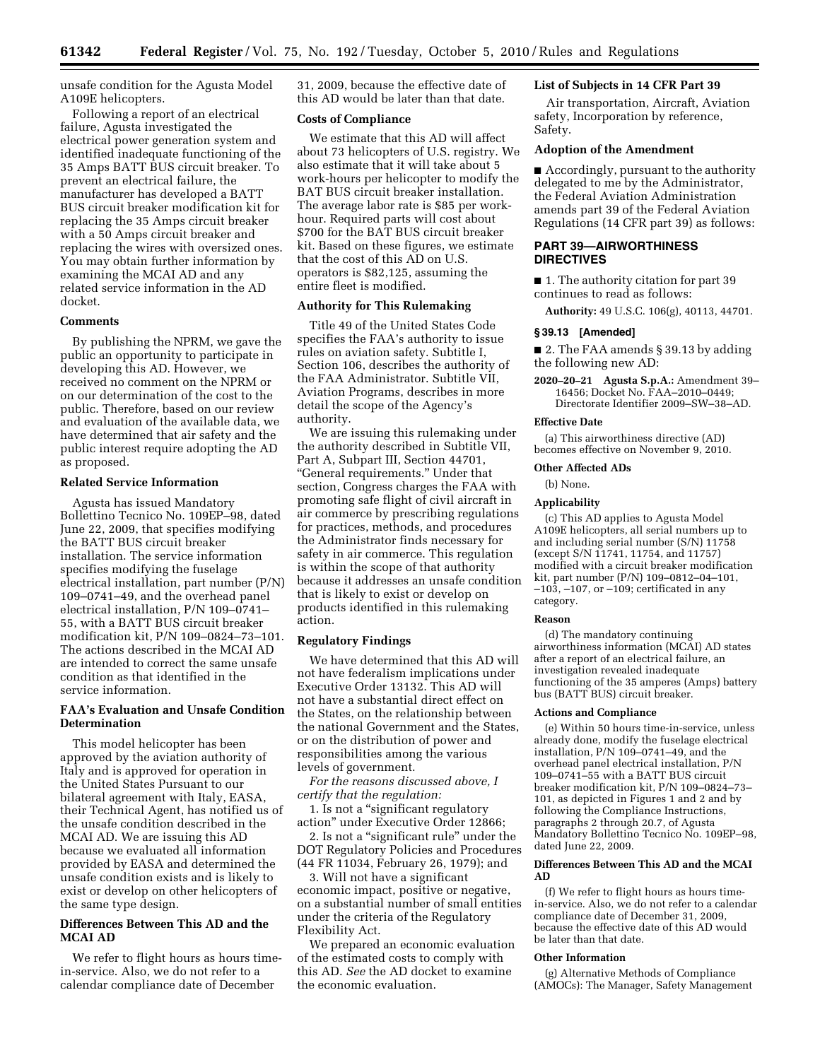unsafe condition for the Agusta Model A109E helicopters.

Following a report of an electrical failure, Agusta investigated the electrical power generation system and identified inadequate functioning of the 35 Amps BATT BUS circuit breaker. To prevent an electrical failure, the manufacturer has developed a BATT BUS circuit breaker modification kit for replacing the 35 Amps circuit breaker with a 50 Amps circuit breaker and replacing the wires with oversized ones. You may obtain further information by examining the MCAI AD and any related service information in the AD docket.

### **Comments**

By publishing the NPRM, we gave the public an opportunity to participate in developing this AD. However, we received no comment on the NPRM or on our determination of the cost to the public. Therefore, based on our review and evaluation of the available data, we have determined that air safety and the public interest require adopting the AD as proposed.

### **Related Service Information**

Agusta has issued Mandatory Bollettino Tecnico No. 109EP–98, dated June 22, 2009, that specifies modifying the BATT BUS circuit breaker installation. The service information specifies modifying the fuselage electrical installation, part number (P/N) 109–0741–49, and the overhead panel electrical installation, P/N 109–0741– 55, with a BATT BUS circuit breaker modification kit, P/N 109–0824–73–101. The actions described in the MCAI AD are intended to correct the same unsafe condition as that identified in the service information.

## **FAA's Evaluation and Unsafe Condition Determination**

This model helicopter has been approved by the aviation authority of Italy and is approved for operation in the United States Pursuant to our bilateral agreement with Italy, EASA, their Technical Agent, has notified us of the unsafe condition described in the MCAI AD. We are issuing this AD because we evaluated all information provided by EASA and determined the unsafe condition exists and is likely to exist or develop on other helicopters of the same type design.

## **Differences Between This AD and the MCAI AD**

We refer to flight hours as hours timein-service. Also, we do not refer to a calendar compliance date of December

31, 2009, because the effective date of this AD would be later than that date.

## **Costs of Compliance**

We estimate that this AD will affect about 73 helicopters of U.S. registry. We also estimate that it will take about 5 work-hours per helicopter to modify the BAT BUS circuit breaker installation. The average labor rate is \$85 per workhour. Required parts will cost about \$700 for the BAT BUS circuit breaker kit. Based on these figures, we estimate that the cost of this AD on U.S. operators is \$82,125, assuming the entire fleet is modified.

## **Authority for This Rulemaking**

Title 49 of the United States Code specifies the FAA's authority to issue rules on aviation safety. Subtitle I, Section 106, describes the authority of the FAA Administrator. Subtitle VII, Aviation Programs, describes in more detail the scope of the Agency's authority.

We are issuing this rulemaking under the authority described in Subtitle VII, Part A, Subpart III, Section 44701, ''General requirements.'' Under that section, Congress charges the FAA with promoting safe flight of civil aircraft in air commerce by prescribing regulations for practices, methods, and procedures the Administrator finds necessary for safety in air commerce. This regulation is within the scope of that authority because it addresses an unsafe condition that is likely to exist or develop on products identified in this rulemaking action.

### **Regulatory Findings**

We have determined that this AD will not have federalism implications under Executive Order 13132. This AD will not have a substantial direct effect on the States, on the relationship between the national Government and the States, or on the distribution of power and responsibilities among the various levels of government.

*For the reasons discussed above, I certify that the regulation:* 

1. Is not a ''significant regulatory action'' under Executive Order 12866;

2. Is not a ''significant rule'' under the DOT Regulatory Policies and Procedures (44 FR 11034, February 26, 1979); and

3. Will not have a significant economic impact, positive or negative, on a substantial number of small entities under the criteria of the Regulatory Flexibility Act.

We prepared an economic evaluation of the estimated costs to comply with this AD. *See* the AD docket to examine the economic evaluation.

## **List of Subjects in 14 CFR Part 39**

Air transportation, Aircraft, Aviation safety, Incorporation by reference, Safety.

#### **Adoption of the Amendment**

■ Accordingly, pursuant to the authority delegated to me by the Administrator, the Federal Aviation Administration amends part 39 of the Federal Aviation Regulations (14 CFR part 39) as follows:

## **PART 39—AIRWORTHINESS DIRECTIVES**

■ 1. The authority citation for part 39 continues to read as follows:

**Authority:** 49 U.S.C. 106(g), 40113, 44701.

## **§ 39.13 [Amended]**

■ 2. The FAA amends § 39.13 by adding the following new AD:

**2020–20–21 Agusta S.p.A.:** Amendment 39– 16456; Docket No. FAA–2010–0449; Directorate Identifier 2009–SW–38–AD.

#### **Effective Date**

(a) This airworthiness directive (AD) becomes effective on November 9, 2010.

## **Other Affected ADs**

(b) None.

# **Applicability**

(c) This AD applies to Agusta Model A109E helicopters, all serial numbers up to and including serial number (S/N) 11758 (except S/N 11741, 11754, and 11757) modified with a circuit breaker modification kit, part number (P/N) 109–0812–04–101,  $-103$ ,  $-107$ , or  $-109$ ; certificated in any category.

#### **Reason**

(d) The mandatory continuing airworthiness information (MCAI) AD states after a report of an electrical failure, an investigation revealed inadequate functioning of the 35 amperes (Amps) battery bus (BATT BUS) circuit breaker.

#### **Actions and Compliance**

(e) Within 50 hours time-in-service, unless already done, modify the fuselage electrical installation, P/N 109–0741–49, and the overhead panel electrical installation, P/N 109–0741–55 with a BATT BUS circuit breaker modification kit, P/N 109–0824–73– 101, as depicted in Figures 1 and 2 and by following the Compliance Instructions, paragraphs 2 through 20.7, of Agusta Mandatory Bollettino Tecnico No. 109EP–98, dated June 22, 2009.

#### **Differences Between This AD and the MCAI AD**

(f) We refer to flight hours as hours timein-service. Also, we do not refer to a calendar compliance date of December 31, 2009, because the effective date of this AD would be later than that date.

## **Other Information**

(g) Alternative Methods of Compliance (AMOCs): The Manager, Safety Management